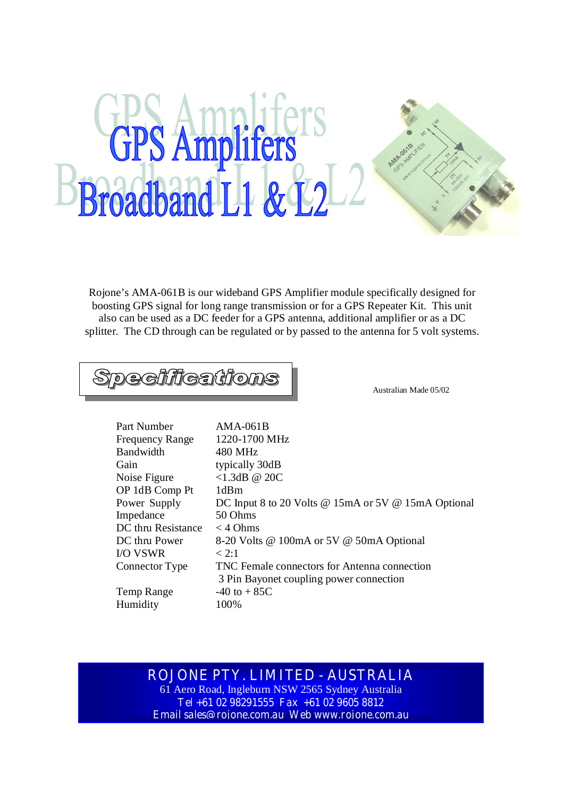## **GPS Amplifers** Broadband L1 & L2

Rojone's AMA-061B is our wideband GPS Amplifier module specifically designed for boosting GPS signal for long range transmission or for a GPS Repeater Kit. This unit also can be used as a DC feeder for a GPS antenna, additional amplifier or as a DC splitter. The CD through can be regulated or by passed to the antenna for 5 volt systems.

**Specifications** 

Australian Made 05/02

| Part Number            | $AMA-061B$                                          |
|------------------------|-----------------------------------------------------|
| <b>Frequency Range</b> | 1220-1700 MHz                                       |
| Bandwidth              | 480 MHz                                             |
| Gain                   | typically 30dB                                      |
| Noise Figure           | $<1.3$ dB @ 20C                                     |
| OP 1dB Comp Pt         | 1dBm                                                |
| Power Supply           | DC Input 8 to 20 Volts @ 15mA or 5V @ 15mA Optional |
| Impedance              | 50 Ohms                                             |
| DC thru Resistance     | $<$ 4 Ohms                                          |
| DC thru Power          | 8-20 Volts @ 100mA or 5V @ 50mA Optional            |
| <b>I/O VSWR</b>        | < 2:1                                               |
| Connector Type         | TNC Female connectors for Antenna connection        |
|                        | 3 Pin Bayonet coupling power connection             |
| Temp Range             | $-40$ to $+85C$                                     |
| Humidity               | 100%                                                |
|                        |                                                     |

## **ROJONE PTY. LIMITED - AUSTRALIA**

61 Aero Road, Ingleburn NSW 2565 Sydney Australia **Tel +61 02 98291555 Fax +61 02 9605 8812 Email sales@rojone.com.au Web www.rojone.com.au**